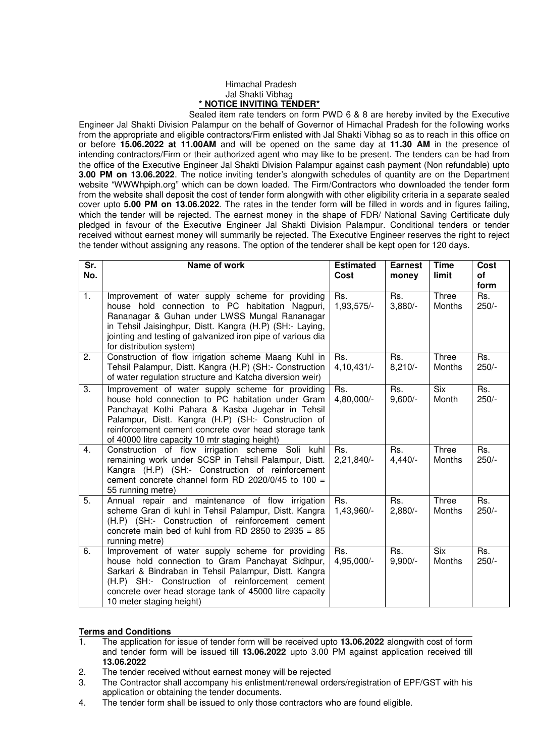## Himachal Pradesh Jal Shakti Vibhag **\* NOTICE INVITING TENDER\***

 Sealed item rate tenders on form PWD 6 & 8 are hereby invited by the Executive Engineer Jal Shakti Division Palampur on the behalf of Governor of Himachal Pradesh for the following works from the appropriate and eligible contractors/Firm enlisted with Jal Shakti Vibhag so as to reach in this office on or before **15.06.2022 at 11.00AM** and will be opened on the same day at **11.30 AM** in the presence of intending contractors/Firm or their authorized agent who may like to be present. The tenders can be had from the office of the Executive Engineer Jal Shakti Division Palampur against cash payment (Non refundable) upto **3.00 PM on 13.06.2022**. The notice inviting tender's alongwith schedules of quantity are on the Department website "WWWhpiph.org" which can be down loaded. The Firm/Contractors who downloaded the tender form from the website shall deposit the cost of tender form alongwith with other eligibility criteria in a separate sealed cover upto **5.00 PM on 13.06.2022**. The rates in the tender form will be filled in words and in figures failing, which the tender will be rejected. The earnest money in the shape of FDR/ National Saving Certificate duly pledged in favour of the Executive Engineer Jal Shakti Division Palampur. Conditional tenders or tender received without earnest money will summarily be rejected. The Executive Engineer reserves the right to reject the tender without assigning any reasons. The option of the tenderer shall be kept open for 120 days.

| $\overline{\mathsf{Sr.}}$<br>No. | Name of work                                                                                                                                                                                                                                                                                                               | <b>Estimated</b><br>Cost | <b>Earnest</b><br>money | <b>Time</b><br>limit | Cost<br><b>of</b><br>form            |
|----------------------------------|----------------------------------------------------------------------------------------------------------------------------------------------------------------------------------------------------------------------------------------------------------------------------------------------------------------------------|--------------------------|-------------------------|----------------------|--------------------------------------|
| $\overline{1}$ .                 | Improvement of water supply scheme for providing<br>house hold connection to PC habitation Nagpuri,<br>Rananagar & Guhan under LWSS Mungal Rananagar<br>in Tehsil Jaisinghpur, Distt. Kangra (H.P) (SH:- Laying,<br>jointing and testing of galvanized iron pipe of various dia<br>for distribution system)                | Rs.<br>1,93,575/-        | Rs.<br>$3,880/-$        | Three<br>Months      | $\overline{\mathsf{Rs.}}$<br>$250/-$ |
| 2.                               | Construction of flow irrigation scheme Maang Kuhl in<br>Tehsil Palampur, Distt. Kangra (H.P) (SH:- Construction<br>of water regulation structure and Katcha diversion weir)                                                                                                                                                | Rs.<br>$4,10,431/-$      | Rs.<br>$8,210/-$        | Three<br>Months      | Rs.<br>$250/-$                       |
| 3.                               | Improvement of water supply scheme for providing<br>house hold connection to PC habitation under Gram<br>Panchayat Kothi Pahara & Kasba Jugehar in Tehsil<br>Palampur, Distt. Kangra (H.P) (SH:- Construction of<br>reinforcement cement concrete over head storage tank<br>of 40000 litre capacity 10 mtr staging height) | Rs.<br>4,80,000/-        | Rs.<br>$9,600/-$        | <b>Six</b><br>Month  | Rs.<br>$250/-$                       |
| 4.                               | Construction of flow irrigation scheme Soli<br>kuhl<br>remaining work under SCSP in Tehsil Palampur, Distt.<br>Kangra (H.P) (SH:- Construction of reinforcement<br>cement concrete channel form RD 2020/0/45 to 100 =<br>55 running metre)                                                                                 | Rs.<br>2,21,840/-        | Rs.<br>$4,440/-$        | Three<br>Months      | Rs.<br>$250/-$                       |
| 5.                               | Annual repair and maintenance of flow irrigation<br>scheme Gran di kuhl in Tehsil Palampur, Distt. Kangra<br>(H.P) (SH:- Construction of reinforcement cement<br>concrete main bed of kuhl from RD 2850 to 2935 = $85$<br>running metre)                                                                                   | Rs.<br>1,43,960/-        | Rs.<br>$2,880/-$        | Three<br>Months      | Rs.<br>$250/-$                       |
| 6.                               | Improvement of water supply scheme for providing<br>house hold connection to Gram Panchayat Sidhpur,<br>Sarkari & Bindraban in Tehsil Palampur, Distt. Kangra<br>(H.P) SH:- Construction of reinforcement cement<br>concrete over head storage tank of 45000 litre capacity<br>10 meter staging height)                    | Rs.<br>4,95,000/-        | Rs.<br>$9,900/-$        | <b>Six</b><br>Months | Rs.<br>$250/-$                       |

## **Terms and Conditions**

- 1. The application for issue of tender form will be received upto **13.06.2022** alongwith cost of form and tender form will be issued till **13.06.2022** upto 3.00 PM against application received till **13.06.2022**
- 2. The tender received without earnest money will be rejected
- 3. The Contractor shall accompany his enlistment/renewal orders/registration of EPF/GST with his application or obtaining the tender documents.
- 4. The tender form shall be issued to only those contractors who are found eligible.